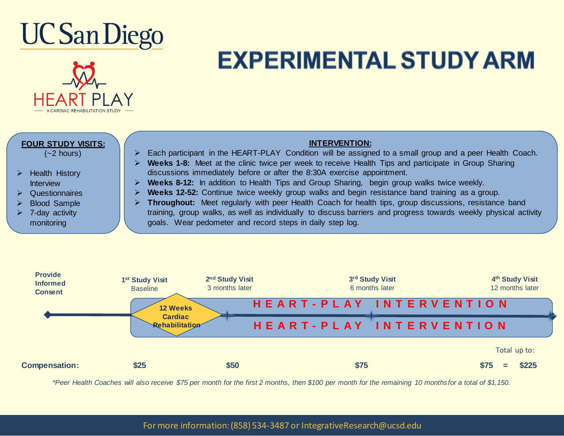



## **EXPERIMENTAL STUDY ARM**

| <b>FOUR STUDY VISITS:</b>          | <b>INTERVENTION:</b>                                                                                                                                                            |
|------------------------------------|---------------------------------------------------------------------------------------------------------------------------------------------------------------------------------|
| $(-2$ hours)                       | Each participant in the HEART-PLAY Condition will be assigned to a small group and a peer Health Coach.                                                                         |
|                                    | Weeks 1-8: Meet at the clinic twice per week to receive Health Tips and participate in Group Sharing<br>discussions immediately before or after the 8:30A exercise appointment. |
| Health History<br><b>Interview</b> | <b>Weeks 8-12:</b> In addition to Health Tips and Group Sharing, begin group walks twice weekly.                                                                                |
| Questionnaires                     | Weeks 12-52: Continue twice weekly group walks and begin resistance band training as a group.                                                                                   |
| <b>Blood Sample</b>                | Throughout: Meet regularly with peer Health Coach for health tips, group discussions, resistance band                                                                           |
| 7-day activity                     | training, group walks, as well as individually to discuss barriers and progress towards weekly physical activity                                                                |
| monitoring                         | goals. Wear pedometer and record steps in daily step log.                                                                                                                       |
|                                    |                                                                                                                                                                                 |
|                                    |                                                                                                                                                                                 |



*\*Peer Health Coaches will also receive \$75 per month for the first 2 months, then \$100 per month for the remaining 10 months for a total of \$1,150.*